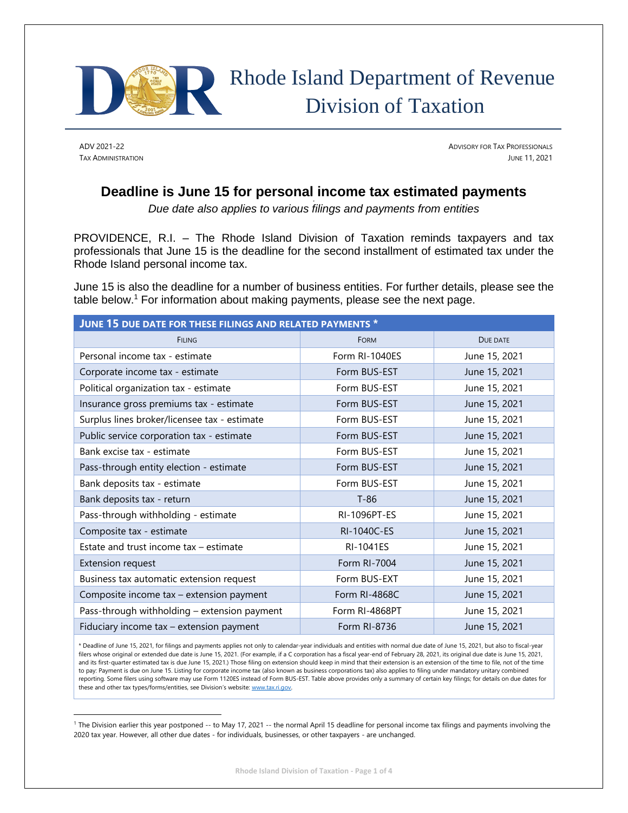

# Rhode Island Department of Revenue Division of Taxation

ADV 2021-22 **ADVISORY FOR TAX PROFESSIONALS** TAX ADMINISTRATION JUNE 11, 2021

## **Deadline is June 15 for personal income tax estimated payments**

*Due date also applies to various filings and payments from entities* 

PROVIDENCE, R.I. – The Rhode Island Division of Taxation reminds taxpayers and tax professionals that June 15 is the deadline for the second installment of estimated tax under the Rhode Island personal income tax.

June 15 is also the deadline for a number of business entities. For further details, please see the table below.<sup>1</sup> For information about making payments, please see the next page.

| JUNE 15 DUE DATE FOR THESE FILINGS AND RELATED PAYMENTS * |                  |               |
|-----------------------------------------------------------|------------------|---------------|
| <b>FILING</b>                                             | <b>FORM</b>      | DUE DATE      |
| Personal income tax - estimate                            | Form RI-1040ES   | June 15, 2021 |
| Corporate income tax - estimate                           | Form BUS-EST     | June 15, 2021 |
| Political organization tax - estimate                     | Form BUS-EST     | June 15, 2021 |
| Insurance gross premiums tax - estimate                   | Form BUS-EST     | June 15, 2021 |
| Surplus lines broker/licensee tax - estimate              | Form BUS-EST     | June 15, 2021 |
| Public service corporation tax - estimate                 | Form BUS-EST     | June 15, 2021 |
| Bank excise tax - estimate                                | Form BUS-EST     | June 15, 2021 |
| Pass-through entity election - estimate                   | Form BUS-EST     | June 15, 2021 |
| Bank deposits tax - estimate                              | Form BUS-EST     | June 15, 2021 |
| Bank deposits tax - return                                | $T-86$           | June 15, 2021 |
| Pass-through withholding - estimate                       | RI-1096PT-ES     | June 15, 2021 |
| Composite tax - estimate                                  | RI-1040C-ES      | June 15, 2021 |
| Estate and trust income tax - estimate                    | <b>RI-1041ES</b> | June 15, 2021 |
| <b>Extension request</b>                                  | Form RI-7004     | June 15, 2021 |
| Business tax automatic extension request                  | Form BUS-EXT     | June 15, 2021 |
| Composite income tax - extension payment                  | Form RI-4868C    | June 15, 2021 |
| Pass-through withholding - extension payment              | Form RI-4868PT   | June 15, 2021 |
| Fiduciary income tax - extension payment                  | Form RI-8736     | June 15, 2021 |

\* Deadline of June 15, 2021, for filings and payments applies not only to calendar-year individuals and entities with normal due date of June 15, 2021, but also to fiscal-year filers whose original or extended due date is June 15, 2021. (For example, if a C corporation has a fiscal year-end of February 28, 2021, its original due date is June 15, 2021, and its first-quarter estimated tax is due June 15, 2021.) Those filing on extension should keep in mind that their extension is an extension of the time to file, not of the time to pay: Payment is due on June 15. Listing for corporate income tax (also known as business corporations tax) also applies to filing under mandatory unitary combined reporting. Some filers using software may use Form 1120ES instead of Form BUS-EST. Table above provides only a summary of certain key filings; for details on due dates for these and other tax types/forms/entities, see Division's website: [www.tax.ri.gov](http://www.tax.ri.gov/)

<sup>1</sup> The Division earlier this year postponed -- to May 17, 2021 -- the normal April 15 deadline for personal income tax filings and payments involving the 2020 tax year. However, all other due dates - for individuals, businesses, or other taxpayers - are unchanged.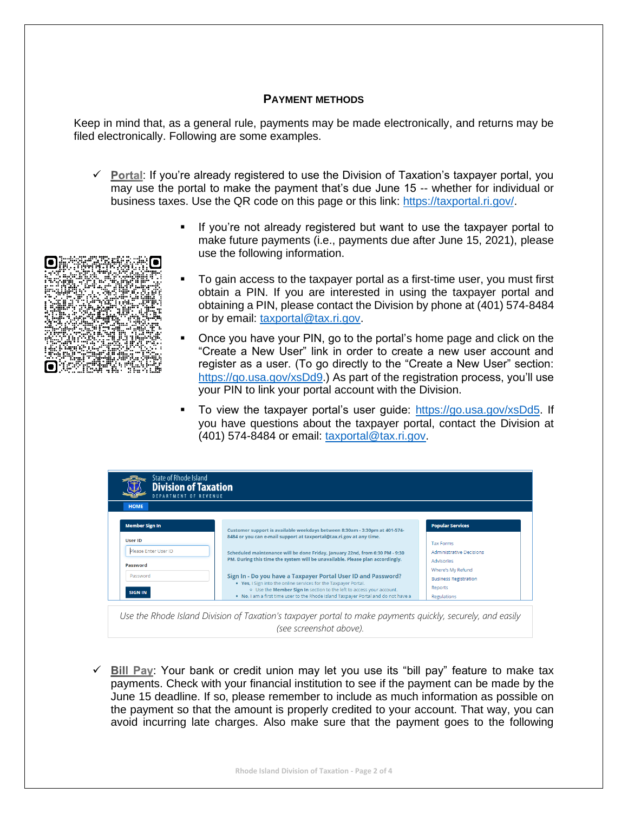#### **PAYMENT METHODS**

Keep in mind that, as a general rule, payments may be made electronically, and returns may be filed electronically. Following are some examples.

- $\checkmark$  Portal: If you're already registered to use the Division of Taxation's taxpayer portal, you may use the portal to make the payment that's due June 15 -- whether for individual or business taxes. Use the QR code on this page or this link: [https://taxportal.ri.gov/.](https://taxportal.ri.gov/)
	- If you're not already registered but want to use the taxpayer portal to make future payments (i.e., payments due after June 15, 2021), please use the following information.
	- To gain access to the taxpayer portal as a first-time user, you must first obtain a PIN. If you are interested in using the taxpayer portal and obtaining a PIN, please contact the Division by phone at (401) 574-8484 or by email: [taxportal@tax.ri.gov.](mailto:taxportal@tax.ri.gov)
		- Once you have your PIN, go to the portal's home page and click on the "Create a New User" link in order to create a new user account and register as a user. (To go directly to the "Create a New User" section: [https://go.usa.gov/xsDd9.](https://go.usa.gov/xsDd9)) As part of the registration process, you'll use your PIN to link your portal account with the Division.
		- To view the taxpayer portal's user guide: [https://go.usa.gov/xsDd5.](https://go.usa.gov/xsDd5) If you have questions about the taxpayer portal, contact the Division at (401) 574-8484 or email: [taxportal@tax.ri.gov.](mailto:taxportal@tax.ri.gov)

| DEPARTMENT OF REVENUE<br><b>HOME</b> |                                                                                                                                                                                                                                                                                           |                                 |  |
|--------------------------------------|-------------------------------------------------------------------------------------------------------------------------------------------------------------------------------------------------------------------------------------------------------------------------------------------|---------------------------------|--|
|                                      |                                                                                                                                                                                                                                                                                           |                                 |  |
| <b>User ID</b>                       | 8484 or you can e-mail support at taxportal@tax.ri.gov at any time.                                                                                                                                                                                                                       | <b>Tax Forms</b>                |  |
| Please Enter User ID                 | Scheduled maintenance will be done Friday, January 22nd, from 6:30 PM - 9:30                                                                                                                                                                                                              | <b>Administrative Decisions</b> |  |
|                                      | PM. During this time the system will be unavailable. Please plan accordingly.<br>Sign In - Do you have a Taxpayer Portal User ID and Password?<br>. Yes, I Sign into the online services for the Taxpayer Portal.<br>o Use the Member Sign In section to the left to access your account. | Advisories                      |  |
| Password                             |                                                                                                                                                                                                                                                                                           | Where's My Refund               |  |
| Password                             |                                                                                                                                                                                                                                                                                           | <b>Business Registration</b>    |  |
|                                      |                                                                                                                                                                                                                                                                                           | Reports                         |  |
| <b>SIGN IN</b>                       | . No, I am a first time user to the Rhode Island Taxpayer Portal and do not have a                                                                                                                                                                                                        | Regulations                     |  |

*(see screenshot above).*

 $\checkmark$  Bill Pay: Your bank or credit union may let you use its "bill pay" feature to make tax payments. Check with your financial institution to see if the payment can be made by the June 15 deadline. If so, please remember to include as much information as possible on the payment so that the amount is properly credited to your account. That way, you can avoid incurring late charges. Also make sure that the payment goes to the following

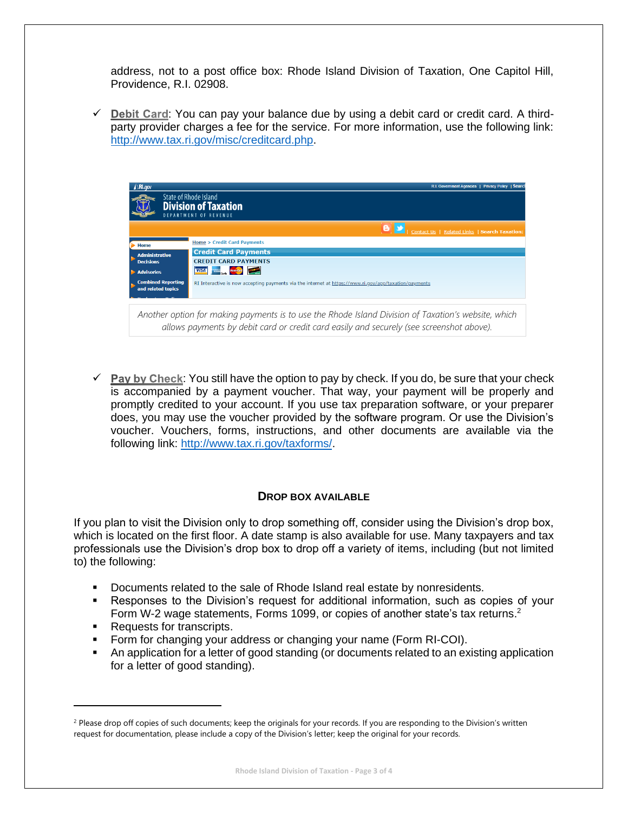address, not to a post office box: Rhode Island Division of Taxation, One Capitol Hill, Providence, R.I. 02908.

 $\checkmark$  Debit Card: You can pay your balance due by using a debit card or credit card. A thirdparty provider charges a fee for the service. For more information, use the following link: [http://www.tax.ri.gov/misc/creditcard.php.](http://www.tax.ri.gov/misc/creditcard.php)



 $\checkmark$  Pay by Check: You still have the option to pay by check. If you do, be sure that your check is accompanied by a payment voucher. That way, your payment will be properly and promptly credited to your account. If you use tax preparation software, or your preparer does, you may use the voucher provided by the software program. Or use the Division's voucher. Vouchers, forms, instructions, and other documents are available via the following link: [http://www.tax.ri.gov/taxforms/.](http://www.tax.ri.gov/taxforms/)

### **DROP BOX AVAILABLE**

If you plan to visit the Division only to drop something off, consider using the Division's drop box, which is located on the first floor. A date stamp is also available for use. Many taxpayers and tax professionals use the Division's drop box to drop off a variety of items, including (but not limited to) the following:

- Documents related to the sale of Rhode Island real estate by nonresidents.
- **EXE** Responses to the Division's request for additional information, such as copies of your Form W-2 wage statements, Forms 1099, or copies of another state's tax returns.<sup>2</sup>
- Requests for transcripts.
- **•** Form for changing your address or changing your name (Form RI-COI).
- **•** An application for a letter of good standing (or documents related to an existing application for a letter of good standing).

<sup>&</sup>lt;sup>2</sup> Please drop off copies of such documents; keep the originals for your records. If you are responding to the Division's written request for documentation, please include a copy of the Division's letter; keep the original for your records.